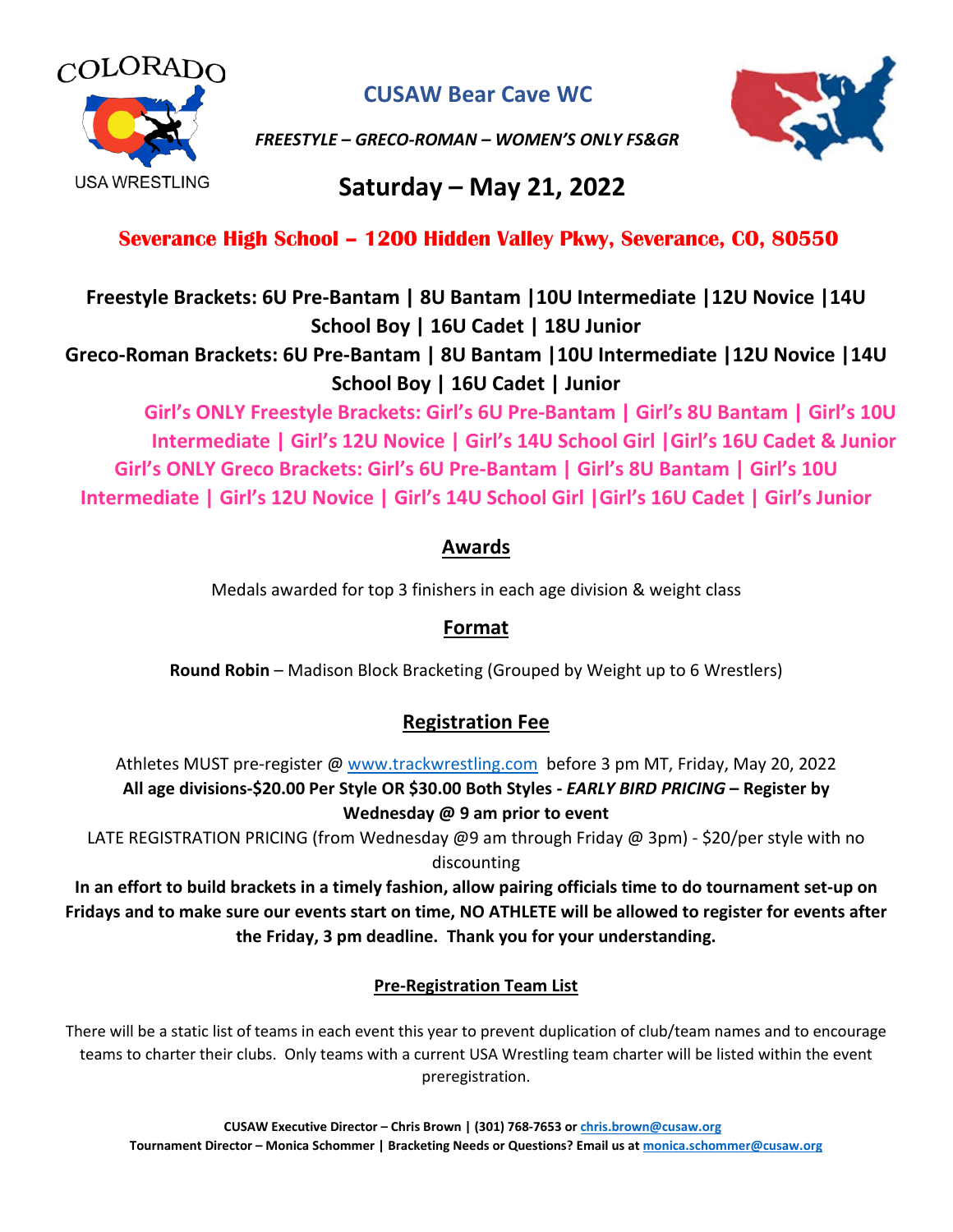

**CUSAW Bear Cave WC**

*FREESTYLE – GRECO-ROMAN – WOMEN'S ONLY FS&GR*



# **Saturday – May 21, 2022**

# **Severance High School – 1200 Hidden Valley Pkwy, Severance, CO, 80550**

**Freestyle Brackets: 6U Pre-Bantam | 8U Bantam |10U Intermediate |12U Novice |14U School Boy | 16U Cadet | 18U Junior**

**Greco-Roman Brackets: 6U Pre-Bantam | 8U Bantam |10U Intermediate |12U Novice |14U School Boy | 16U Cadet | Junior**

**Girl's ONLY Freestyle Brackets: Girl's 6U Pre-Bantam | Girl's 8U Bantam | Girl's 10U Intermediate | Girl's 12U Novice | Girl's 14U School Girl |Girl's 16U Cadet & Junior Girl's ONLY Greco Brackets: Girl's 6U Pre-Bantam | Girl's 8U Bantam | Girl's 10U Intermediate | Girl's 12U Novice | Girl's 14U School Girl |Girl's 16U Cadet | Girl's Junior**

### **Awards**

Medals awarded for top 3 finishers in each age division & weight class

# **Format**

**Round Robin** – Madison Block Bracketing (Grouped by Weight up to 6 Wrestlers)

# **Registration Fee**

Athletes MUST pre-register @ [www.trackwrestling.com](http://www.trackwrestling.com/) before 3 pm MT, Friday, May 20, 2022 **All age divisions-\$20.00 Per Style OR \$30.00 Both Styles -** *EARLY BIRD PRICING* **– Register by Wednesday @ 9 am prior to event**

LATE REGISTRATION PRICING (from Wednesday @9 am through Friday @ 3pm) - \$20/per style with no discounting

**In an effort to build brackets in a timely fashion, allow pairing officials time to do tournament set-up on Fridays and to make sure our events start on time, NO ATHLETE will be allowed to register for events after the Friday, 3 pm deadline. Thank you for your understanding.**

#### **Pre-Registration Team List**

There will be a static list of teams in each event this year to prevent duplication of club/team names and to encourage teams to charter their clubs. Only teams with a current USA Wrestling team charter will be listed within the event preregistration.